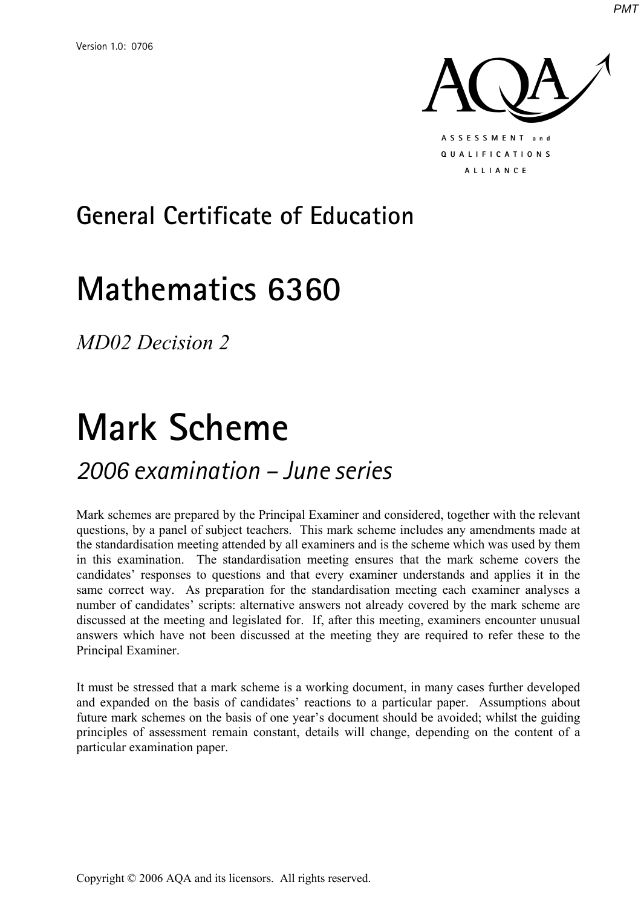

# **General Certificate of Education**

# **Mathematics 6360**

*MD02 Decision 2* 

# **Mark Scheme**

## *2006 examination – June series*

Mark schemes are prepared by the Principal Examiner and considered, together with the relevant questions, by a panel of subject teachers. This mark scheme includes any amendments made at the standardisation meeting attended by all examiners and is the scheme which was used by them in this examination. The standardisation meeting ensures that the mark scheme covers the candidates' responses to questions and that every examiner understands and applies it in the same correct way. As preparation for the standardisation meeting each examiner analyses a number of candidates' scripts: alternative answers not already covered by the mark scheme are discussed at the meeting and legislated for. If, after this meeting, examiners encounter unusual answers which have not been discussed at the meeting they are required to refer these to the Principal Examiner.

It must be stressed that a mark scheme is a working document, in many cases further developed and expanded on the basis of candidates' reactions to a particular paper. Assumptions about future mark schemes on the basis of one year's document should be avoided; whilst the guiding principles of assessment remain constant, details will change, depending on the content of a particular examination paper.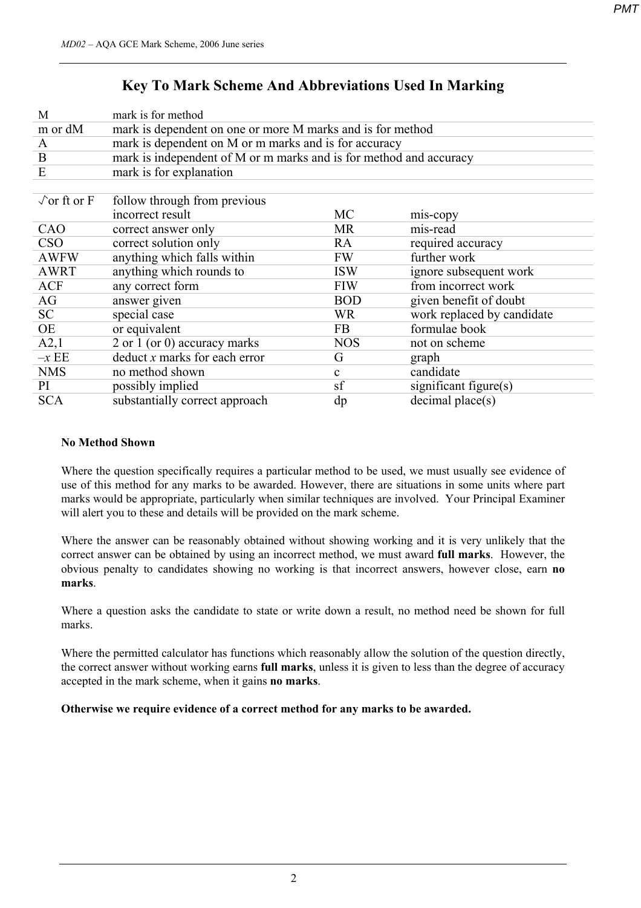## **Key To Mark Scheme And Abbreviations Used In Marking**

| M                          | mark is for method                                                 |              |                            |  |  |  |  |  |  |  |
|----------------------------|--------------------------------------------------------------------|--------------|----------------------------|--|--|--|--|--|--|--|
| m or dM                    | mark is dependent on one or more M marks and is for method         |              |                            |  |  |  |  |  |  |  |
| $\mathbf{A}$               | mark is dependent on M or m marks and is for accuracy              |              |                            |  |  |  |  |  |  |  |
| B                          | mark is independent of M or m marks and is for method and accuracy |              |                            |  |  |  |  |  |  |  |
| E                          | mark is for explanation                                            |              |                            |  |  |  |  |  |  |  |
|                            |                                                                    |              |                            |  |  |  |  |  |  |  |
| $\sqrt{\text{or ft or F}}$ | follow through from previous                                       |              |                            |  |  |  |  |  |  |  |
|                            | incorrect result                                                   | <b>MC</b>    | mis-copy                   |  |  |  |  |  |  |  |
| CAO                        | correct answer only                                                | <b>MR</b>    | mis-read                   |  |  |  |  |  |  |  |
| <b>CSO</b>                 | correct solution only                                              | RA           | required accuracy          |  |  |  |  |  |  |  |
| <b>AWFW</b>                | anything which falls within                                        | <b>FW</b>    | further work               |  |  |  |  |  |  |  |
| <b>AWRT</b>                | anything which rounds to                                           | <b>ISW</b>   | ignore subsequent work     |  |  |  |  |  |  |  |
| <b>ACF</b>                 | any correct form                                                   | <b>FIW</b>   | from incorrect work        |  |  |  |  |  |  |  |
| AG                         | answer given                                                       | <b>BOD</b>   | given benefit of doubt     |  |  |  |  |  |  |  |
| SC                         | special case                                                       | <b>WR</b>    | work replaced by candidate |  |  |  |  |  |  |  |
| OE                         | or equivalent                                                      | FB           | formulae book              |  |  |  |  |  |  |  |
| A2,1                       | 2 or 1 (or 0) accuracy marks                                       | <b>NOS</b>   | not on scheme              |  |  |  |  |  |  |  |
| $-xEE$                     | $deduct x$ marks for each error                                    | G            | graph                      |  |  |  |  |  |  |  |
| <b>NMS</b>                 | no method shown                                                    | $\mathbf{c}$ | candidate                  |  |  |  |  |  |  |  |
| PI                         | possibly implied                                                   | sf           | significant figure $(s)$   |  |  |  |  |  |  |  |
| <b>SCA</b>                 | substantially correct approach                                     | dp           | decimal place(s)           |  |  |  |  |  |  |  |
|                            |                                                                    |              |                            |  |  |  |  |  |  |  |

#### **No Method Shown**

Where the question specifically requires a particular method to be used, we must usually see evidence of use of this method for any marks to be awarded. However, there are situations in some units where part marks would be appropriate, particularly when similar techniques are involved. Your Principal Examiner will alert you to these and details will be provided on the mark scheme.

Where the answer can be reasonably obtained without showing working and it is very unlikely that the correct answer can be obtained by using an incorrect method, we must award **full marks**. However, the obvious penalty to candidates showing no working is that incorrect answers, however close, earn **no marks**.

Where a question asks the candidate to state or write down a result, no method need be shown for full marks.

Where the permitted calculator has functions which reasonably allow the solution of the question directly, the correct answer without working earns **full marks**, unless it is given to less than the degree of accuracy accepted in the mark scheme, when it gains **no marks**.

**Otherwise we require evidence of a correct method for any marks to be awarded.**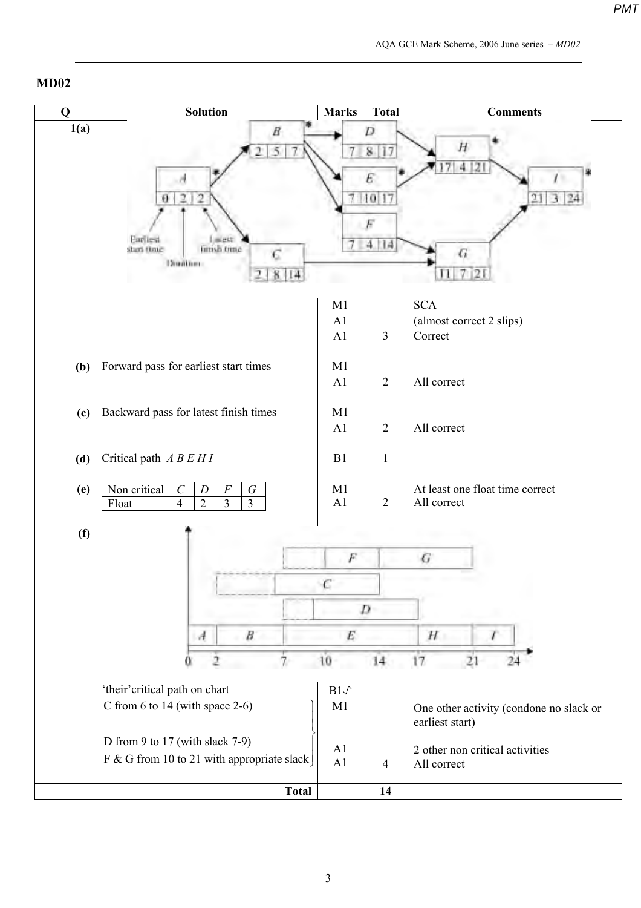### **MD02**

| Q    | <b>Solution</b>                                                                        | <b>Marks</b>    | <b>Total</b>   | <b>Comments</b>                                            |
|------|----------------------------------------------------------------------------------------|-----------------|----------------|------------------------------------------------------------|
| 1(a) | B                                                                                      |                 | D              |                                                            |
|      | 5                                                                                      |                 | 8 17           | H                                                          |
|      |                                                                                        |                 |                | 4                                                          |
|      |                                                                                        |                 |                |                                                            |
|      | $\overline{2}$<br>v<br>Ð                                                               |                 | 10             | 21                                                         |
|      |                                                                                        |                 |                |                                                            |
|      | Enritest<br>finish time<br>shart (Inte                                                 |                 | ПA<br>4. I     |                                                            |
|      | Doutles:                                                                               |                 |                | G                                                          |
|      | 14<br>8                                                                                |                 |                | $\mathbf{2}$                                               |
|      |                                                                                        | M1              |                | <b>SCA</b>                                                 |
|      |                                                                                        | A1              |                | (almost correct 2 slips)                                   |
|      |                                                                                        | A1              | $\mathfrak{Z}$ | Correct                                                    |
|      |                                                                                        |                 |                |                                                            |
| (b)  | Forward pass for earliest start times                                                  | M1<br>A1        | $\overline{2}$ | All correct                                                |
|      |                                                                                        |                 |                |                                                            |
| (c)  | Backward pass for latest finish times                                                  | M1              |                |                                                            |
|      |                                                                                        | A <sub>1</sub>  | $\sqrt{2}$     | All correct                                                |
|      |                                                                                        |                 |                |                                                            |
| (d)  | Critical path $A \, B \, E \, H \, I$                                                  | B1              | $\mathbf{1}$   |                                                            |
| (e)  | Non critical<br>$\mathcal{C}$<br>$\cal F$<br>$\cal G$<br>$\boldsymbol{D}$              | M1              |                | At least one float time correct                            |
|      | $\overline{3}$<br>$\overline{2}$<br>$\overline{\mathbf{3}}$<br>$\overline{4}$<br>Float | A1              | $\sqrt{2}$     | All correct                                                |
|      |                                                                                        |                 |                |                                                            |
| (f)  |                                                                                        |                 |                |                                                            |
|      |                                                                                        | F               |                | G                                                          |
|      |                                                                                        |                 |                |                                                            |
|      |                                                                                        |                 | D              |                                                            |
|      |                                                                                        |                 |                |                                                            |
|      | B<br>A                                                                                 | E               |                | H                                                          |
|      |                                                                                        | 10              | 14             | 17<br>21                                                   |
|      |                                                                                        |                 |                |                                                            |
|      | 'their' critical path on chart                                                         | $B1\mathcal{N}$ |                |                                                            |
|      | C from 6 to 14 (with space $2-6$ )                                                     | M1              |                | One other activity (condone no slack or<br>earliest start) |
|      | D from 9 to 17 (with slack 7-9)                                                        |                 |                |                                                            |
|      | F & G from 10 to 21 with appropriate slack                                             | A1              |                | 2 other non critical activities                            |
|      |                                                                                        | A1              | $\overline{4}$ | All correct                                                |
|      | <b>Total</b>                                                                           |                 | 14             |                                                            |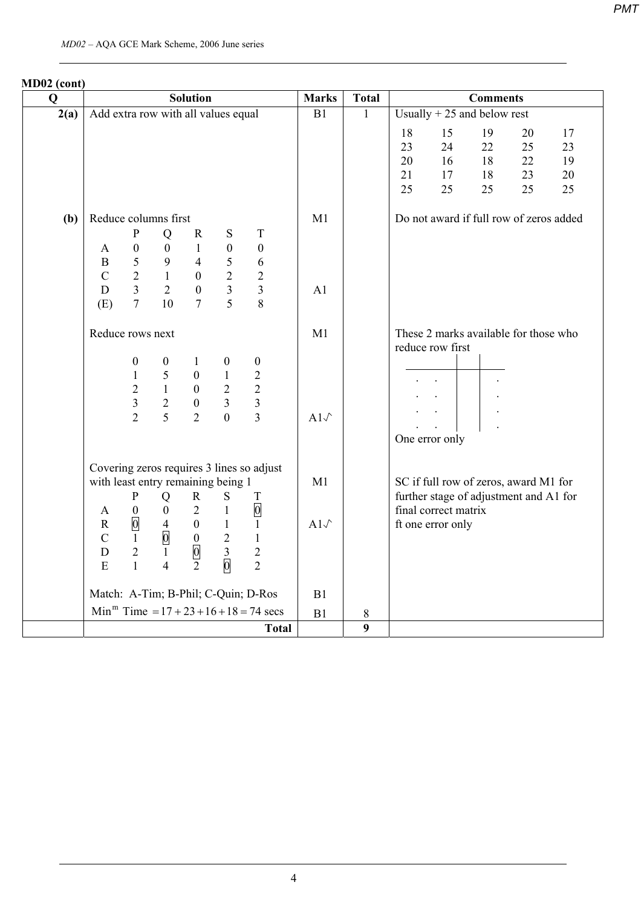| MD02 (cont)<br>$\mathbf 0$ |                                                              |                                                                                                      |                                                                                         | <b>Solution</b>                                                                               |                                                                                         |                                                                                            | <b>Marks</b>   | <b>Total</b>   |                            |                                           | <b>Comments</b>            |                                         |                            |
|----------------------------|--------------------------------------------------------------|------------------------------------------------------------------------------------------------------|-----------------------------------------------------------------------------------------|-----------------------------------------------------------------------------------------------|-----------------------------------------------------------------------------------------|--------------------------------------------------------------------------------------------|----------------|----------------|----------------------------|-------------------------------------------|----------------------------|-----------------------------------------|----------------------------|
| 2(a)                       | Add extra row with all values equal                          |                                                                                                      |                                                                                         |                                                                                               |                                                                                         |                                                                                            | B1             | $\mathbf{1}$   |                            | Usually $+25$ and below rest              |                            |                                         |                            |
|                            |                                                              |                                                                                                      |                                                                                         |                                                                                               |                                                                                         |                                                                                            |                |                | 18<br>23<br>20<br>21<br>25 | 15<br>24<br>16<br>17<br>25                | 19<br>22<br>18<br>18<br>25 | 20<br>25<br>22<br>23<br>25              | 17<br>23<br>19<br>20<br>25 |
| (b)                        | Reduce columns first                                         |                                                                                                      |                                                                                         |                                                                                               |                                                                                         |                                                                                            | M1             |                |                            |                                           |                            | Do not award if full row of zeros added |                            |
|                            |                                                              | ${\bf P}$                                                                                            | Q                                                                                       | $\mathbf R$                                                                                   | S                                                                                       | $\mathbf T$                                                                                |                |                |                            |                                           |                            |                                         |                            |
|                            | A<br>$\mathbf{B}$<br>$\mathbf C$                             | $\boldsymbol{0}$<br>5<br>$\overline{2}$                                                              | $\overline{0}$<br>9<br>$\mathbf{1}$                                                     | $\mathbf{1}$<br>$\overline{4}$<br>$\boldsymbol{0}$                                            | $\boldsymbol{0}$<br>5<br>$\overline{2}$                                                 | $\boldsymbol{0}$<br>6<br>$\overline{2}$                                                    |                |                |                            |                                           |                            |                                         |                            |
|                            | D<br>(E)                                                     | $\overline{3}$<br>$\overline{7}$                                                                     | $\overline{2}$<br>10                                                                    | $\overline{0}$<br>$\overline{7}$                                                              | $\overline{3}$<br>$\overline{5}$                                                        | $\overline{3}$<br>8                                                                        | A <sub>1</sub> |                |                            |                                           |                            |                                         |                            |
|                            | Reduce rows next                                             |                                                                                                      |                                                                                         |                                                                                               |                                                                                         |                                                                                            | M1             |                |                            | reduce row first                          |                            | These 2 marks available for those who   |                            |
|                            |                                                              | $\boldsymbol{0}$<br>$\mathbf{1}$<br>$\overline{2}$<br>$\overline{3}$<br>$\overline{2}$               | $\boldsymbol{0}$<br>5<br>$\mathbf{1}$<br>$\overline{2}$<br>$\overline{5}$               | 1<br>$\mathbf{0}$<br>$\overline{0}$<br>$\boldsymbol{0}$<br>$\overline{2}$                     | $\boldsymbol{0}$<br>$\mathbf{1}$<br>$\overline{2}$<br>$\overline{3}$<br>$\overline{0}$  | $\boldsymbol{0}$<br>$\begin{array}{c} 2 \\ 2 \\ 3 \end{array}$<br>$\overline{3}$           | $A1\sqrt{ }$   |                |                            | One error only                            |                            |                                         |                            |
|                            | with least entry remaining being 1                           |                                                                                                      |                                                                                         |                                                                                               |                                                                                         | Covering zeros requires 3 lines so adjust                                                  | M1             |                |                            |                                           |                            | SC if full row of zeros, award M1 for   |                            |
|                            | $\mathbf{A}$<br>$\mathbf R$<br>$\mathbf C$<br>${\bf D}$<br>E | $\mathbf{P}$<br>$\boldsymbol{0}$<br>$\overline{0}$<br>$\mathbf{1}$<br>$\overline{2}$<br>$\mathbf{1}$ | Q<br>$\mathbf{0}$<br>$\overline{4}$<br>$\overline{0}$<br>$\mathbf{1}$<br>$\overline{4}$ | $\mathbf{R}$<br>$\overline{2}$<br>$\overline{0}$<br>$0\,$<br>$\overline{0}$<br>$\overline{2}$ | S<br>$\mathbf{1}$<br>$\mathbf{1}$<br>$\overline{2}$<br>$\overline{3}$<br>$\overline{0}$ | $\mathbf T$<br>$\overline{0}$<br>$\mathbf{1}$<br>$1\,$<br>$\overline{2}$<br>$\overline{2}$ | $A1\sqrt{ }$   |                |                            | final correct matrix<br>ft one error only |                            | further stage of adjustment and A1 for  |                            |
|                            |                                                              |                                                                                                      |                                                                                         |                                                                                               |                                                                                         | Match: A-Tim; B-Phil; C-Quin; D-Ros                                                        | B1             |                |                            |                                           |                            |                                         |                            |
|                            |                                                              |                                                                                                      |                                                                                         |                                                                                               |                                                                                         | $Minm Time = 17 + 23 + 16 + 18 = 74$ secs                                                  | B1             | $8\,$          |                            |                                           |                            |                                         |                            |
|                            |                                                              |                                                                                                      |                                                                                         |                                                                                               |                                                                                         | <b>Total</b>                                                                               |                | $\overline{9}$ |                            |                                           |                            |                                         |                            |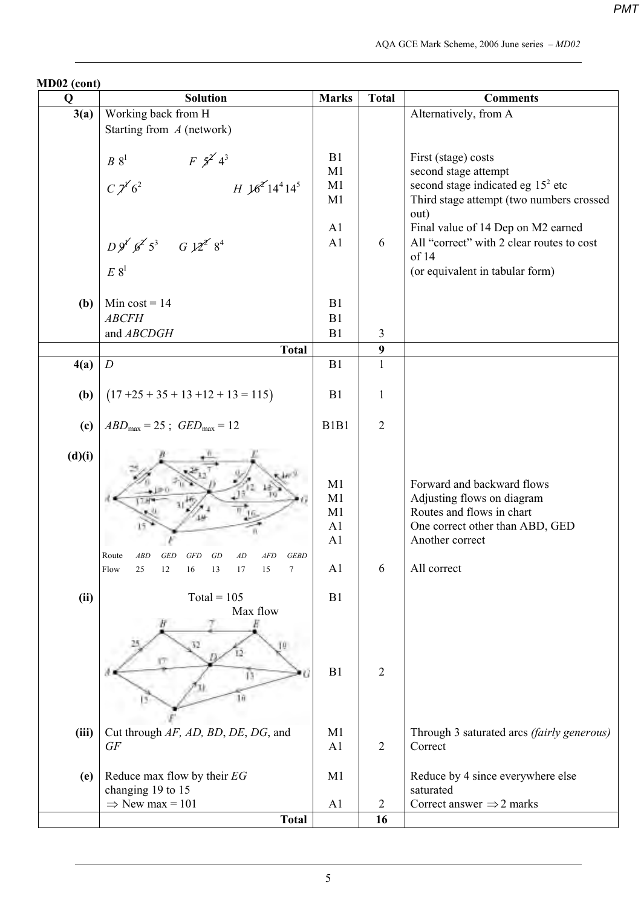| MD02 (cont) |                                                                                   |                               |                |                                            |
|-------------|-----------------------------------------------------------------------------------|-------------------------------|----------------|--------------------------------------------|
| Q           | <b>Solution</b>                                                                   | <b>Marks</b>                  | <b>Total</b>   | <b>Comments</b>                            |
| 3(a)        | Working back from H                                                               |                               |                | Alternatively, from A                      |
|             | Starting from $A$ (network)                                                       |                               |                |                                            |
|             |                                                                                   |                               |                |                                            |
|             | $F \frac{5}{2} 4^3$<br>$\mathcal{B}$ $8^{\rm{l}}$                                 | B1                            |                | First (stage) costs                        |
|             |                                                                                   | M1                            |                | second stage attempt                       |
|             | $C\chi^{\gamma'}6^2$<br>$H \frac{16^{2}}{14^{4}} 14^{5}$                          | M1                            |                | second stage indicated eg $152$ etc        |
|             |                                                                                   | M1                            |                | Third stage attempt (two numbers crossed   |
|             |                                                                                   |                               |                | out)                                       |
|             |                                                                                   | A <sub>1</sub>                |                | Final value of 14 Dep on M2 earned         |
|             | $D 9^{x'} 6^{x'} 5^3$ $G 12^{x'} 8^4$                                             | A1                            | 6              | All "correct" with 2 clear routes to cost  |
|             |                                                                                   |                               |                | of 14                                      |
|             | $E 8^1$                                                                           |                               |                | (or equivalent in tabular form)            |
|             |                                                                                   |                               |                |                                            |
| (b)         | Min $cost = 14$                                                                   | B1                            |                |                                            |
|             | <b>ABCFH</b>                                                                      | B1                            |                |                                            |
|             | and ABCDGH                                                                        | B1                            | $\overline{3}$ |                                            |
|             | <b>Total</b>                                                                      |                               | 9              |                                            |
| 4(a)        | $\boldsymbol{D}$                                                                  | B1                            | $\mathbf{1}$   |                                            |
|             |                                                                                   |                               |                |                                            |
| (b)         | $(17 + 25 + 35 + 13 + 12 + 13 = 115)$                                             | B1                            | $\mathbf{1}$   |                                            |
|             |                                                                                   |                               |                |                                            |
| (c)         | $ABD_{\text{max}} = 25$ ; $GED_{\text{max}} = 12$                                 | B <sub>1</sub> B <sub>1</sub> | $\overline{2}$ |                                            |
|             |                                                                                   |                               |                |                                            |
| (d)(i)      |                                                                                   |                               |                |                                            |
|             |                                                                                   |                               |                |                                            |
|             |                                                                                   | M1                            |                | Forward and backward flows                 |
|             |                                                                                   | M1                            |                | Adjusting flows on diagram                 |
|             |                                                                                   | M1                            |                | Routes and flows in chart                  |
|             |                                                                                   | A <sub>1</sub>                |                | One correct other than ABD, GED            |
|             |                                                                                   | A1                            |                | Another correct                            |
|             | Route<br><b>ABD</b><br><b>GED</b><br><b>GFD</b><br>GD<br>AD<br><b>GEBD</b><br>AFD |                               |                |                                            |
|             | Flow<br>25<br>15<br>$\overline{7}$<br>12<br>16<br>13<br>17                        | A <sub>1</sub>                | 6              | All correct                                |
|             |                                                                                   |                               |                |                                            |
| (ii)        | $Total = 105$                                                                     | B1                            |                |                                            |
|             | Max flow                                                                          |                               |                |                                            |
|             |                                                                                   |                               |                |                                            |
|             | 32                                                                                |                               |                |                                            |
|             |                                                                                   |                               |                |                                            |
|             |                                                                                   | B1                            | $\overline{2}$ |                                            |
|             |                                                                                   |                               |                |                                            |
|             | 16                                                                                |                               |                |                                            |
|             |                                                                                   |                               |                |                                            |
| (iii)       | Cut through AF, AD, BD, DE, DG, and                                               | M <sub>1</sub>                |                | Through 3 saturated arcs (fairly generous) |
|             | <b>GF</b>                                                                         | A1                            | $\overline{2}$ | Correct                                    |
|             |                                                                                   |                               |                |                                            |
| (e)         | Reduce max flow by their EG                                                       | M1                            |                | Reduce by 4 since everywhere else          |
|             | changing 19 to 15                                                                 |                               |                | saturated                                  |
|             | $\Rightarrow$ New max = 101                                                       | A <sub>1</sub>                | $\overline{2}$ | Correct answer $\Rightarrow$ 2 marks       |
|             | <b>Total</b>                                                                      |                               | 16             |                                            |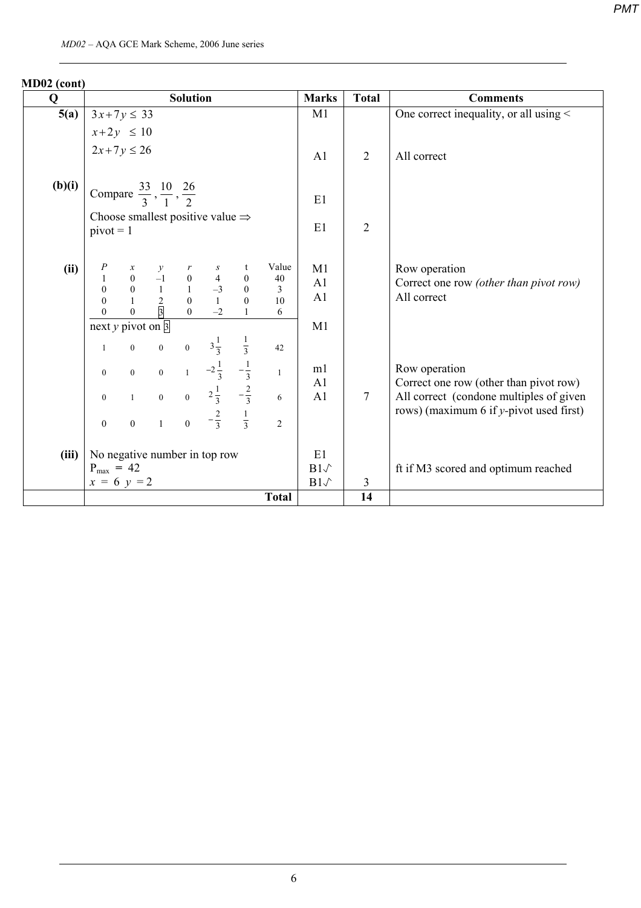| Q      |                                                                                   |                |                                                                                                                                | <b>Solution</b> |                                              |                                                               |                                 | <b>Marks</b>       | <b>Total</b>    | <b>Comments</b>                                                                       |
|--------|-----------------------------------------------------------------------------------|----------------|--------------------------------------------------------------------------------------------------------------------------------|-----------------|----------------------------------------------|---------------------------------------------------------------|---------------------------------|--------------------|-----------------|---------------------------------------------------------------------------------------|
| 5(a)   | $3x+7y \le 33$                                                                    |                |                                                                                                                                |                 |                                              |                                                               |                                 | M1                 |                 | One correct inequality, or all using $\leq$                                           |
|        | $x+2y \le 10$                                                                     |                |                                                                                                                                |                 |                                              |                                                               |                                 |                    |                 |                                                                                       |
|        | $2x+7y \le 26$                                                                    |                |                                                                                                                                |                 |                                              |                                                               |                                 | A <sub>1</sub>     | 2               | All correct                                                                           |
| (b)(i) | Compare $\frac{33}{3}, \frac{10}{1}, \frac{26}{2}$                                |                |                                                                                                                                |                 |                                              |                                                               |                                 | E1                 |                 |                                                                                       |
|        | $pivot = 1$                                                                       |                |                                                                                                                                |                 | Choose smallest positive value $\Rightarrow$ |                                                               |                                 | E1                 | $\overline{2}$  |                                                                                       |
| (ii)   | $\overline{P}$<br>$\mathbf 1$<br>$\overline{0}$<br>$\overline{0}$<br>$\mathbf{0}$ |                | $\begin{array}{ccccccccc} x & y & r & s \\ 0 & -1 & 0 & 4 \\ 0 & 1 & 1 & -3 \\ 1 & 2 & 0 & 1 \\ 0 & 3 & 0 & -2 \\ \end{array}$ |                 |                                              | t<br>$\boldsymbol{0}$<br>$\boldsymbol{0}$<br>$\boldsymbol{0}$ | Value<br>40<br>3<br>$10\,$<br>6 | M1<br>A1<br>A1     |                 | Row operation<br>Correct one row (other than pivot row)<br>All correct                |
|        | next y pivot on $\overline{3}$                                                    |                |                                                                                                                                |                 |                                              |                                                               |                                 | M1                 |                 |                                                                                       |
|        | $\mathbf{1}$                                                                      |                |                                                                                                                                |                 | 0 0 0 $3\frac{1}{3}$ $\frac{1}{3}$           |                                                               | 42                              |                    |                 |                                                                                       |
|        | $\boldsymbol{0}$                                                                  |                |                                                                                                                                |                 | 0 0 1 $-2\frac{1}{3}$                        | $-\frac{1}{3}$                                                | $\mathbf{1}$                    | m1<br>A1           |                 | Row operation<br>Correct one row (other than pivot row)                               |
|        | $\boldsymbol{0}$                                                                  |                |                                                                                                                                |                 | 1 0 0 $2\frac{1}{3}$ $-\frac{2}{3}$          |                                                               | 6                               | A1                 | $7\overline{ }$ | All correct (condone multiples of given<br>rows) (maximum 6 if $y$ -pivot used first) |
|        | $\mathbf{0}$                                                                      | $\overline{0}$ |                                                                                                                                |                 | 1 0 $-\frac{2}{3}$ $\frac{1}{3}$             |                                                               | $\mathfrak{D}$                  |                    |                 |                                                                                       |
| (iii)  |                                                                                   |                |                                                                                                                                |                 | No negative number in top row                |                                                               |                                 | E1<br>$B1\sqrt{ }$ |                 |                                                                                       |
|        | $P_{max}$ = 42<br>$x = 6$ y = 2                                                   |                |                                                                                                                                |                 |                                              |                                                               |                                 | $B1\sqrt{ }$       | $\mathfrak{Z}$  | ft if M3 scored and optimum reached                                                   |
|        |                                                                                   |                |                                                                                                                                |                 |                                              |                                                               | <b>Total</b>                    |                    | 14              |                                                                                       |